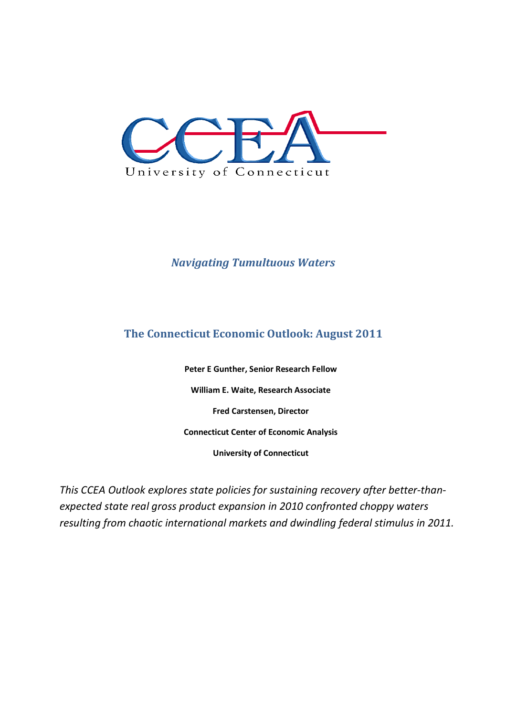

# *Navigating Tumultuous Waters*

# **The Connecticut Economic Outlook: August 2011**

**Peter E Gunther, Senior Research Fellow William E. Waite, Research Associate Fred Carstensen, Director Connecticut Center of Economic Analysis University of Connecticut** 

*This CCEA Outlook explores state policies for sustaining recovery after better-thanexpected state real gross product expansion in 2010 confronted choppy waters resulting from chaotic international markets and dwindling federal stimulus in 2011.*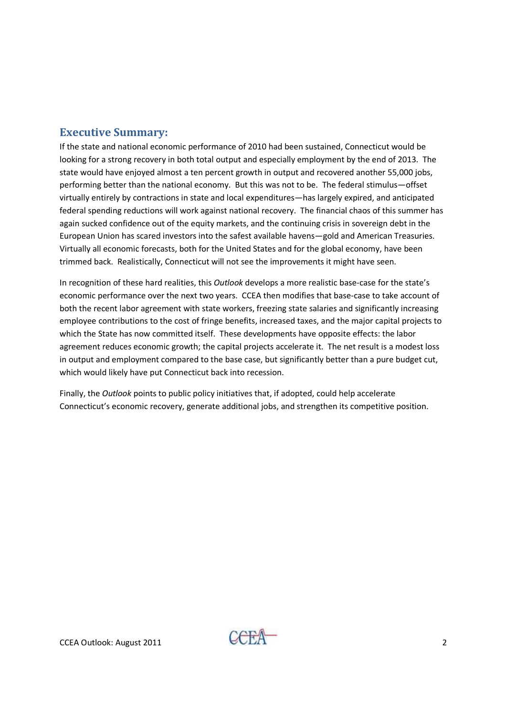### **Executive Summary:**

If the state and national economic performance of 2010 had been sustained, Connecticut would be looking for a strong recovery in both total output and especially employment by the end of 2013. The state would have enjoyed almost a ten percent growth in output and recovered another 55,000 jobs, performing better than the national economy. But this was not to be. The federal stimulus—offset virtually entirely by contractions in state and local expenditures—has largely expired, and anticipated federal spending reductions will work against national recovery. The financial chaos of this summer has again sucked confidence out of the equity markets, and the continuing crisis in sovereign debt in the European Union has scared investors into the safest available havens—gold and American Treasuries. Virtually all economic forecasts, both for the United States and for the global economy, have been trimmed back. Realistically, Connecticut will not see the improvements it might have seen.

In recognition of these hard realities, this *Outlook* develops a more realistic base-case for the state's economic performance over the next two years. CCEA then modifies that base-case to take account of both the recent labor agreement with state workers, freezing state salaries and significantly increasing employee contributions to the cost of fringe benefits, increased taxes, and the major capital projects to which the State has now committed itself. These developments have opposite effects: the labor agreement reduces economic growth; the capital projects accelerate it. The net result is a modest loss in output and employment compared to the base case, but significantly better than a pure budget cut, which would likely have put Connecticut back into recession.

Finally, the *Outlook* points to public policy initiatives that, if adopted, could help accelerate Connecticut's economic recovery, generate additional jobs, and strengthen its competitive position.

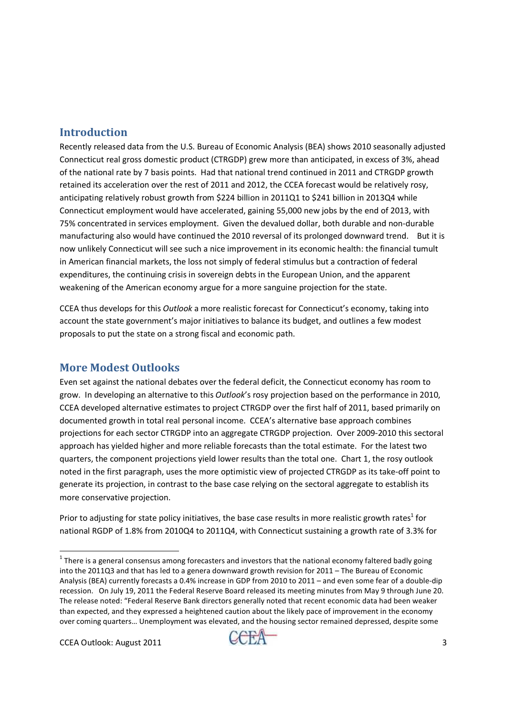## **Introduction**

Recently released data from the U.S. Bureau of Economic Analysis (BEA) shows 2010 seasonally adjusted Connecticut real gross domestic product (CTRGDP) grew more than anticipated, in excess of 3%, ahead of the national rate by 7 basis points. Had that national trend continued in 2011 and CTRGDP growth retained its acceleration over the rest of 2011 and 2012, the CCEA forecast would be relatively rosy, anticipating relatively robust growth from \$224 billion in 2011Q1 to \$241 billion in 2013Q4 while Connecticut employment would have accelerated, gaining 55,000 new jobs by the end of 2013, with 75% concentrated in services employment. Given the devalued dollar, both durable and non-durable manufacturing also would have continued the 2010 reversal of its prolonged downward trend. But it is now unlikely Connecticut will see such a nice improvement in its economic health: the financial tumult in American financial markets, the loss not simply of federal stimulus but a contraction of federal expenditures, the continuing crisis in sovereign debts in the European Union, and the apparent weakening of the American economy argue for a more sanguine projection for the state.

CCEA thus develops for this *Outlook* a more realistic forecast for Connecticut's economy, taking into account the state government's major initiatives to balance its budget, and outlines a few modest proposals to put the state on a strong fiscal and economic path.

# **More Modest Outlooks**

Even set against the national debates over the federal deficit, the Connecticut economy has room to grow. In developing an alternative to this *Outlook*'s rosy projection based on the performance in 2010, CCEA developed alternative estimates to project CTRGDP over the first half of 2011, based primarily on documented growth in total real personal income. CCEA's alternative base approach combines projections for each sector CTRGDP into an aggregate CTRGDP projection. Over 2009-2010 this sectoral approach has yielded higher and more reliable forecasts than the total estimate. For the latest two quarters, the component projections yield lower results than the total one. Chart 1, the rosy outlook noted in the first paragraph, uses the more optimistic view of projected CTRGDP as its take-off point to generate its projection, in contrast to the base case relying on the sectoral aggregate to establish its more conservative projection.

Prior to adjusting for state policy initiatives, the base case results in more realistic growth rates<sup>1</sup> for national RGDP of 1.8% from 2010Q4 to 2011Q4, with Connecticut sustaining a growth rate of 3.3% for

.<br>-



 $^1$  There is a general consensus among forecasters and investors that the national economy faltered badly going into the 2011Q3 and that has led to a genera downward growth revision for 2011 – The Bureau of Economic Analysis (BEA) currently forecasts a 0.4% increase in GDP from 2010 to 2011 – and even some fear of a double-dip recession. On July 19, 2011 the Federal Reserve Board released its meeting minutes from May 9 through June 20. The release noted: "Federal Reserve Bank directors generally noted that recent economic data had been weaker than expected, and they expressed a heightened caution about the likely pace of improvement in the economy over coming quarters… Unemployment was elevated, and the housing sector remained depressed, despite some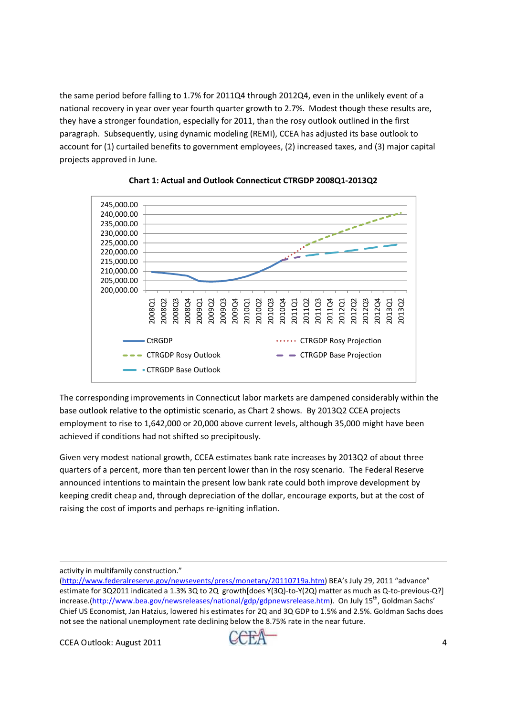the same period before falling to 1.7% for 2011Q4 through 2012Q4, even in the unlikely event of a national recovery in year over year fourth quarter growth to 2.7%. Modest though these results are, they have a stronger foundation, especially for 2011, than the rosy outlook outlined in the first paragraph. Subsequently, using dynamic modeling (REMI), CCEA has adjusted its base outlook to account for (1) curtailed benefits to government employees, (2) increased taxes, and (3) major capital projects approved in June.





The corresponding improvements in Connecticut labor markets are dampened considerably within the base outlook relative to the optimistic scenario, as Chart 2 shows. By 2013Q2 CCEA projects employment to rise to 1,642,000 or 20,000 above current levels, although 35,000 might have been achieved if conditions had not shifted so precipitously.

Given very modest national growth, CCEA estimates bank rate increases by 2013Q2 of about three quarters of a percent, more than ten percent lower than in the rosy scenario. The Federal Reserve announced intentions to maintain the present low bank rate could both improve development by keeping credit cheap and, through depreciation of the dollar, encourage exports, but at the cost of raising the cost of imports and perhaps re-igniting inflation.

activity in multifamily construction."

<u>.</u>

 $CCEA$  Outlook: August 2011  $CCEA$  4



<sup>(</sup>http://www.federalreserve.gov/newsevents/press/monetary/20110719a.htm) BEA's July 29, 2011 "advance" estimate for 3Q2011 indicated a 1.3% 3Q to 2Q growth[does Y(3Q)-to-Y(2Q) matter as much as Q-to-previous-Q?] increase.(http://www.bea.gov/newsreleases/national/gdp/gdpnewsrelease.htm). On July 15<sup>th</sup>, Goldman Sachs' Chief US Economist, Jan Hatzius, lowered his estimates for 2Q and 3Q GDP to 1.5% and 2.5%. Goldman Sachs does not see the national unemployment rate declining below the 8.75% rate in the near future.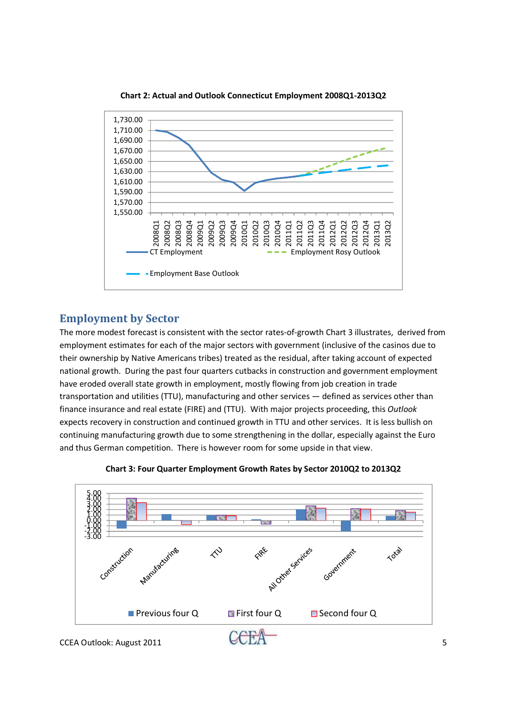

**Chart 2: Actual and Outlook Connecticut Employment 2008Q1-2013Q2** 

### **Employment by Sector**

The more modest forecast is consistent with the sector rates-of-growth Chart 3 illustrates, derived from employment estimates for each of the major sectors with government (inclusive of the casinos due to their ownership by Native Americans tribes) treated as the residual, after taking account of expected national growth. During the past four quarters cutbacks in construction and government employment have eroded overall state growth in employment, mostly flowing from job creation in trade transportation and utilities (TTU), manufacturing and other services — defined as services other than finance insurance and real estate (FIRE) and (TTU). With major projects proceeding, this *Outlook* expects recovery in construction and continued growth in TTU and other services. It is less bullish on continuing manufacturing growth due to some strengthening in the dollar, especially against the Euro and thus German competition. There is however room for some upside in that view.



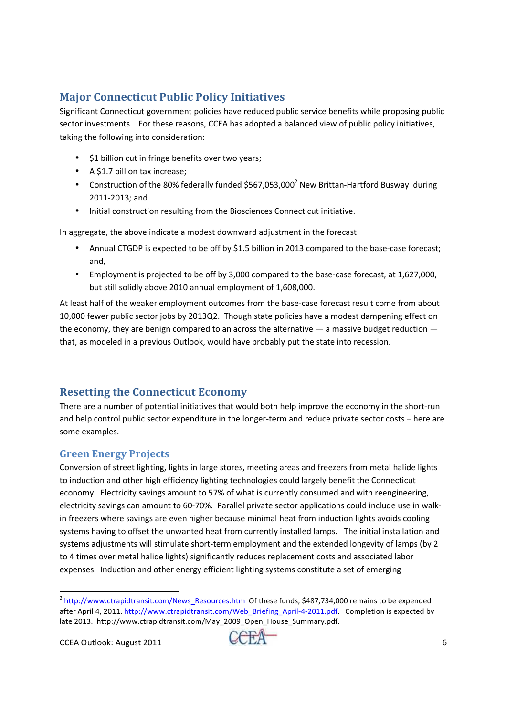# **Major Connecticut Public Policy Initiatives**

Significant Connecticut government policies have reduced public service benefits while proposing public sector investments. For these reasons, CCEA has adopted a balanced view of public policy initiatives, taking the following into consideration:

- \$1 billion cut in fringe benefits over two years;
- A \$1.7 billion tax increase;
- Construction of the 80% federally funded \$567,053,000<sup>2</sup> New Brittan-Hartford Busway during 2011-2013; and
- Initial construction resulting from the Biosciences Connecticut initiative.

In aggregate, the above indicate a modest downward adjustment in the forecast:

- Annual CTGDP is expected to be off by \$1.5 billion in 2013 compared to the base-case forecast; and,
- Employment is projected to be off by 3,000 compared to the base-case forecast, at 1,627,000, but still solidly above 2010 annual employment of 1,608,000.

At least half of the weaker employment outcomes from the base-case forecast result come from about 10,000 fewer public sector jobs by 2013Q2. Though state policies have a modest dampening effect on the economy, they are benign compared to an across the alternative — a massive budget reduction that, as modeled in a previous Outlook, would have probably put the state into recession.

# **Resetting the Connecticut Economy**

There are a number of potential initiatives that would both help improve the economy in the short-run and help control public sector expenditure in the longer-term and reduce private sector costs – here are some examples.

### **Green Energy Projects**

Conversion of street lighting, lights in large stores, meeting areas and freezers from metal halide lights to induction and other high efficiency lighting technologies could largely benefit the Connecticut economy. Electricity savings amount to 57% of what is currently consumed and with reengineering, electricity savings can amount to 60-70%. Parallel private sector applications could include use in walkin freezers where savings are even higher because minimal heat from induction lights avoids cooling systems having to offset the unwanted heat from currently installed lamps. The initial installation and systems adjustments will stimulate short-term employment and the extended longevity of lamps (by 2 to 4 times over metal halide lights) significantly reduces replacement costs and associated labor expenses. Induction and other energy efficient lighting systems constitute a set of emerging

<u>.</u>



<sup>&</sup>lt;sup>2</sup> http://www.ctrapidtransit.com/News\_Resources.htm Of these funds, \$487,734,000 remains to be expended after April 4, 2011. http://www.ctrapidtransit.com/Web\_Briefing\_April-4-2011.pdf. Completion is expected by late 2013. http://www.ctrapidtransit.com/May\_2009\_Open\_House\_Summary.pdf.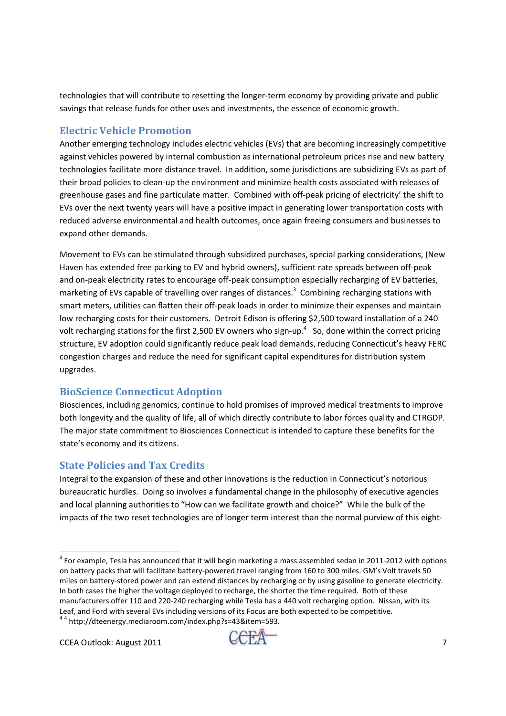technologies that will contribute to resetting the longer-term economy by providing private and public savings that release funds for other uses and investments, the essence of economic growth.

## **Electric Vehicle Promotion**

Another emerging technology includes electric vehicles (EVs) that are becoming increasingly competitive against vehicles powered by internal combustion as international petroleum prices rise and new battery technologies facilitate more distance travel. In addition, some jurisdictions are subsidizing EVs as part of their broad policies to clean-up the environment and minimize health costs associated with releases of greenhouse gases and fine particulate matter. Combined with off-peak pricing of electricity' the shift to EVs over the next twenty years will have a positive impact in generating lower transportation costs with reduced adverse environmental and health outcomes, once again freeing consumers and businesses to expand other demands.

Movement to EVs can be stimulated through subsidized purchases, special parking considerations, (New Haven has extended free parking to EV and hybrid owners), sufficient rate spreads between off-peak and on-peak electricity rates to encourage off-peak consumption especially recharging of EV batteries, marketing of EVs capable of travelling over ranges of distances.<sup>3</sup> Combining recharging stations with smart meters, utilities can flatten their off-peak loads in order to minimize their expenses and maintain low recharging costs for their customers. Detroit Edison is offering \$2,500 toward installation of a 240 volt recharging stations for the first 2,500 EV owners who sign-up.<sup>4</sup> So, done within the correct pricing structure, EV adoption could significantly reduce peak load demands, reducing Connecticut's heavy FERC congestion charges and reduce the need for significant capital expenditures for distribution system upgrades.

### **BioScience Connecticut Adoption**

Biosciences, including genomics, continue to hold promises of improved medical treatments to improve both longevity and the quality of life, all of which directly contribute to labor forces quality and CTRGDP. The major state commitment to Biosciences Connecticut is intended to capture these benefits for the state's economy and its citizens.

### **State Policies and Tax Credits**

Integral to the expansion of these and other innovations is the reduction in Connecticut's notorious bureaucratic hurdles. Doing so involves a fundamental change in the philosophy of executive agencies and local planning authorities to "How can we facilitate growth and choice?" While the bulk of the impacts of the two reset technologies are of longer term interest than the normal purview of this eight-

.<br>-



 $3$  For example, Tesla has announced that it will begin marketing a mass assembled sedan in 2011-2012 with options on battery packs that will facilitate battery-powered travel ranging from 160 to 300 miles. GM's Volt travels 50 miles on battery-stored power and can extend distances by recharging or by using gasoline to generate electricity. In both cases the higher the voltage deployed to recharge, the shorter the time required. Both of these manufacturers offer 110 and 220-240 recharging while Tesla has a 440 volt recharging option. Nissan, with its Leaf, and Ford with several EVs including versions of its Focus are both expected to be competitive.

<sup>4</sup> 4 http://dteenergy.mediaroom.com/index.php?s=43&item=593.